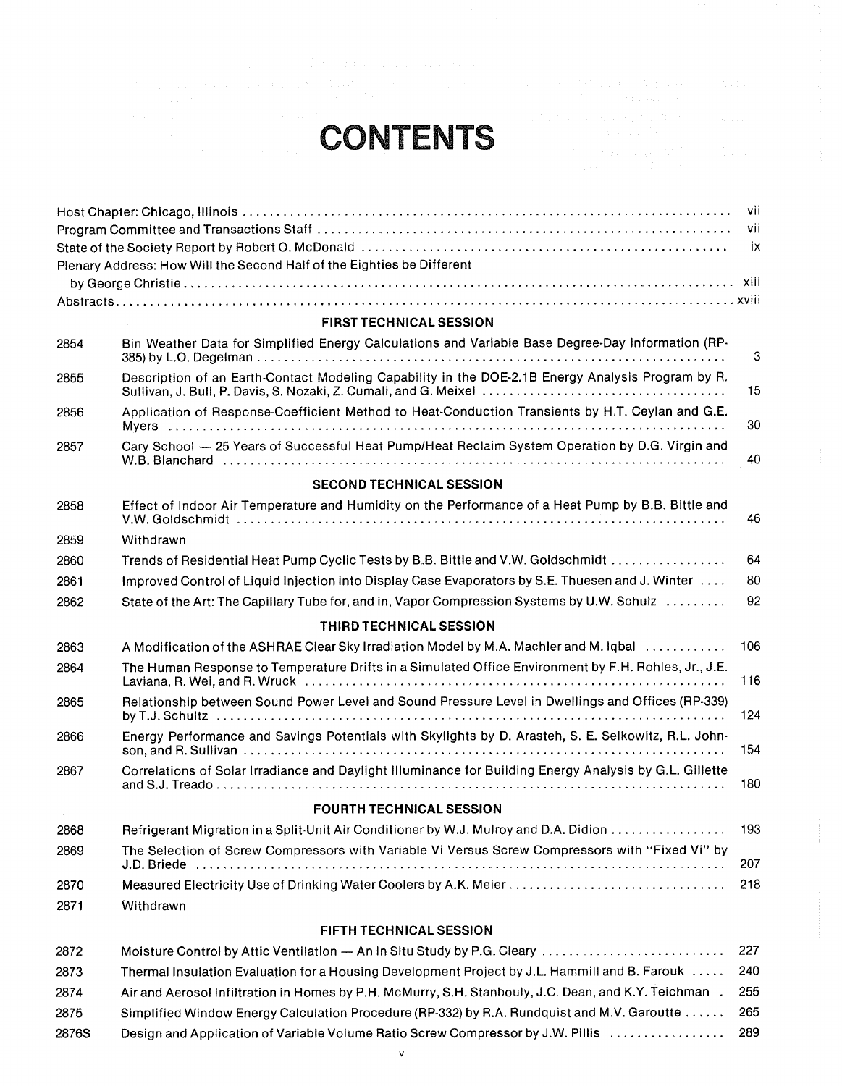## CONTENTS

|  | an an Air Monte an                                                                                                            |  |
|--|-------------------------------------------------------------------------------------------------------------------------------|--|
|  | interested and sufficient of the condition                                                                                    |  |
|  | $\mathcal{L}_{\text{max}}$ and $\mathcal{L}_{\text{max}}$ is a simple of the state.<br>and the areas and the first control of |  |
|  | a shekarar ta 1970, wa                                                                                                        |  |

|       |                                                                                                                                                                       | VII  |
|-------|-----------------------------------------------------------------------------------------------------------------------------------------------------------------------|------|
|       |                                                                                                                                                                       | vii  |
|       |                                                                                                                                                                       | - ix |
|       | Plenary Address: How Will the Second Half of the Eighties be Different                                                                                                |      |
|       |                                                                                                                                                                       |      |
|       |                                                                                                                                                                       |      |
|       | <b>FIRST TECHNICAL SESSION</b>                                                                                                                                        |      |
| 2854  | Bin Weather Data for Simplified Energy Calculations and Variable Base Degree-Day Information (RP-                                                                     | 3    |
| 2855  | Description of an Earth-Contact Modeling Capability in the DOE-2.1B Energy Analysis Program by R.<br>Sullivan, J. Bull, P. Davis, S. Nozaki, Z. Cumali, and G. Meixel | 15   |
| 2856  | Application of Response-Coefficient Method to Heat-Conduction Transients by H.T. Ceylan and G.E.                                                                      | 30   |
| 2857  | Cary School - 25 Years of Successful Heat Pump/Heat Reclaim System Operation by D.G. Virgin and                                                                       | 40   |
|       | <b>SECOND TECHNICAL SESSION</b>                                                                                                                                       |      |
| 2858  | Effect of Indoor Air Temperature and Humidity on the Performance of a Heat Pump by B.B. Bittle and                                                                    |      |
|       |                                                                                                                                                                       | 46   |
| 2859  | Withdrawn                                                                                                                                                             |      |
| 2860  | Trends of Residential Heat Pump Cyclic Tests by B.B. Bittle and V.W. Goldschmidt                                                                                      | 64   |
| 2861  | Improved Control of Liquid Injection into Display Case Evaporators by S.E. Thuesen and J. Winter                                                                      | 80   |
| 2862  | State of the Art: The Capillary Tube for, and in, Vapor Compression Systems by U.W. Schulz                                                                            | 92   |
|       | THIRD TECHNICAL SESSION                                                                                                                                               |      |
| 2863  | A Modification of the ASHRAE Clear Sky Irradiation Model by M.A. Machler and M. Iqbal                                                                                 | 106  |
| 2864  | The Human Response to Temperature Drifts in a Simulated Office Environment by F.H. Rohles, Jr., J.E.                                                                  | 116  |
| 2865  | Relationship between Sound Power Level and Sound Pressure Level in Dwellings and Offices (RP-339)                                                                     | 124  |
| 2866  | Energy Performance and Savings Potentials with Skylights by D. Arasteh, S. E. Selkowitz, R.L. John-                                                                   | 154  |
| 2867  | Correlations of Solar Irradiance and Daylight Illuminance for Building Energy Analysis by G.L. Gillette                                                               | 180  |
|       | <b>FOURTH TECHNICAL SESSION</b>                                                                                                                                       |      |
| 2868  | Refrigerant Migration in a Split-Unit Air Conditioner by W.J. Mulroy and D.A. Didion                                                                                  | 193  |
| 2869  | The Selection of Screw Compressors with Variable Vi Versus Screw Compressors with "Fixed Vi" by<br>J.D. Briede                                                        | 207  |
| 2870  |                                                                                                                                                                       | 218  |
| 2871  | Withdrawn                                                                                                                                                             |      |
|       |                                                                                                                                                                       |      |
|       | FIFTH TECHNICAL SESSION                                                                                                                                               |      |
| 2872  | Moisture Control by Attic Ventilation - An In Situ Study by P.G. Cleary                                                                                               | 227  |
| 2873  | Thermal Insulation Evaluation for a Housing Development Project by J.L. Hammill and B. Farouk                                                                         | 240  |
| 2874  | Air and Aerosol Infiltration in Homes by P.H. McMurry, S.H. Stanbouly, J.C. Dean, and K.Y. Teichman.                                                                  | 255  |
| 2875  | Simplified Window Energy Calculation Procedure (RP-332) by R.A. Rundquist and M.V. Garoutte                                                                           | 265  |
| 2876S | Design and Application of Variable Volume Ratio Screw Compressor by J.W. Pillis                                                                                       | 289  |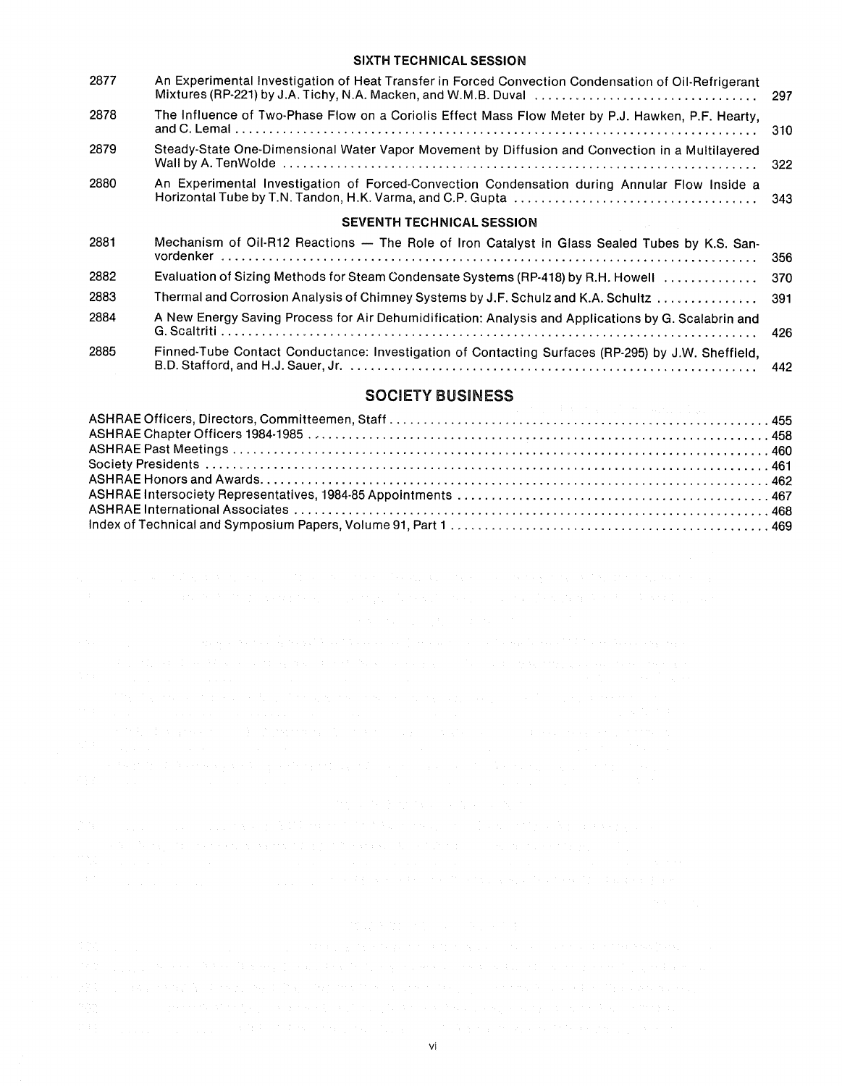## SIXTH TECHNICAL SESSION

| 2877 | An Experimental Investigation of Heat Transfer in Forced Convection Condensation of Oil-Refrigerant<br>Mixtures (RP-221) by J.A. Tichy, N.A. Macken, and W.M.B. Duval | 297    |
|------|-----------------------------------------------------------------------------------------------------------------------------------------------------------------------|--------|
| 2878 | The Influence of Two-Phase Flow on a Coriolis Effect Mass Flow Meter by P.J. Hawken, P.F. Hearty,                                                                     | 310    |
| 2879 | Steady-State One-Dimensional Water Vapor Movement by Diffusion and Convection in a Multilayered                                                                       | 322    |
| 2880 | An Experimental Investigation of Forced-Convection Condensation during Annular Flow Inside a                                                                          |        |
|      | <b>SEVENTH TECHNICAL SESSION</b>                                                                                                                                      |        |
| 2881 | Mechanism of Oil-R12 Reactions - The Role of Iron Catalyst in Glass Sealed Tubes by K.S. San-                                                                         | 356    |
| 2882 | Evaluation of Sizing Methods for Steam Condensate Systems (RP-418) by R.H. Howell                                                                                     | 370    |
| 2883 | Thermal and Corrosion Analysis of Chimney Systems by J.F. Schulz and K.A. Schultz  391                                                                                |        |
| 2884 | A New Energy Saving Process for Air Dehumidification: Analysis and Applications by G. Scalabrin and<br>$C$ $C$ $\sim$ $\sim$ $\sim$ $\sim$ $\sim$ $\sim$              | $\sim$ |

| 2885 | Finned-Tube Contact Conductance: Investigation of Contacting Surfaces (RP-295) by J.W. Sheffield, |  |  |
|------|---------------------------------------------------------------------------------------------------|--|--|
|      |                                                                                                   |  |  |

### SOCIETY BUSINESS

|  | t kallulus suunnusta tarja sitestaan talaksi taasikaan arvoota tuna mistaan kanaan taasi labiatat kan aatta tun                                                         |  |
|--|-------------------------------------------------------------------------------------------------------------------------------------------------------------------------|--|
|  | 医无力能 法国家 超级 经实际经济公司 化磷酸盐 医大脑支气管 医心包 医致病性腹股沟 化二硫酸盐 计分类                                                                                                                   |  |
|  | 医特罗氏征 医血管 医血管病 医白色 医血管 医血管 医血管 医血管 医血管 医血管 医心包 医骨质 医血管 医神经                                                                                                              |  |
|  | 医三角膜 医氯化物 医内皮下的 医弗里克氏试验检梅毒杆菌 医胸膜炎 医致病性 医马克氏反射 医单纯性性白细胞<br>Mikropolis in the parameter of the company of the company of the company of the company of the company of the |  |
|  | s constitution and the constitution of the constitution of the constitution of the constitution of the constitution                                                     |  |
|  |                                                                                                                                                                         |  |
|  | 计数据数据 医神经性梅毒杆菌 经保险税 经预算的现在分词 医白细胞 医白色性脑炎 医血管 计数据 医胸膜炎                                                                                                                   |  |
|  | 1980 - Andrea Stadt Gallery, amerikansk politiker († 1930)<br>1900 - Johann Barn, amerikansk politiker († 1900)                                                         |  |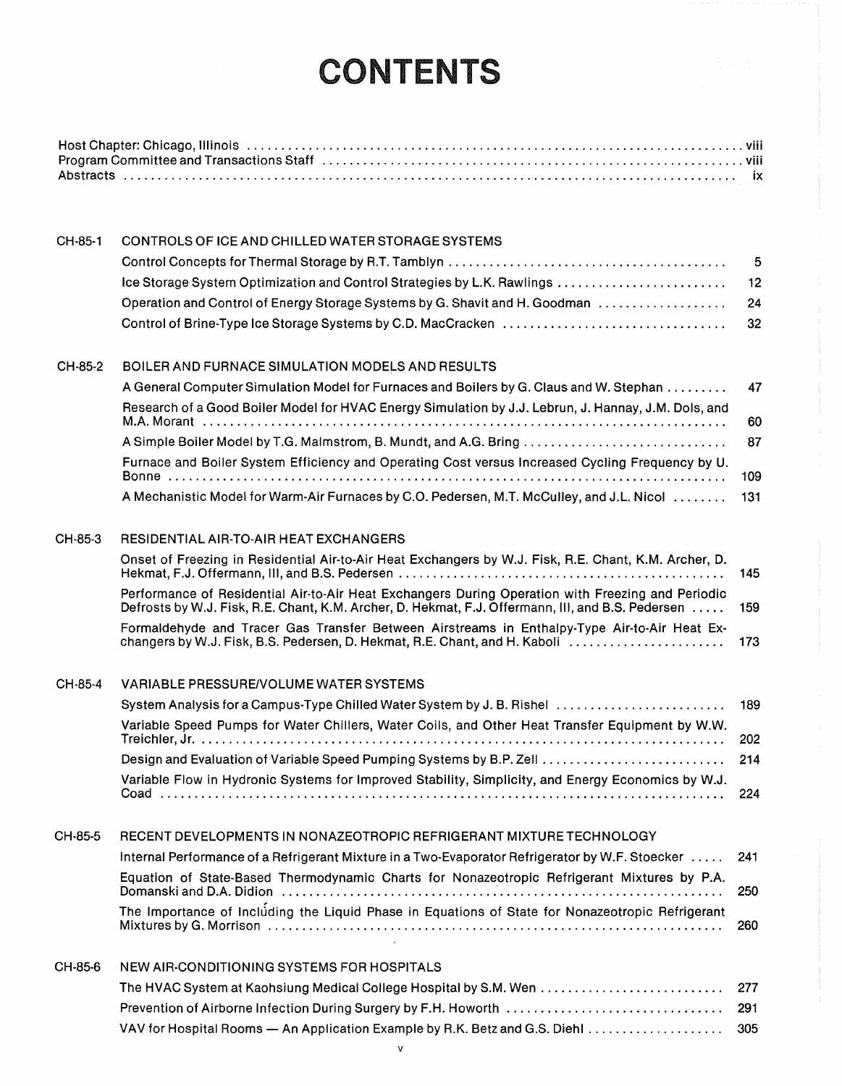# CONTENTS

| Program Committee and Transactions Staff (ed. to accommodate content of the contract of the Program Committee and Transactions Staff (ed. to accommodate content of the Program Committee and Transactions Staff (ed. to accom |  |
|--------------------------------------------------------------------------------------------------------------------------------------------------------------------------------------------------------------------------------|--|
|                                                                                                                                                                                                                                |  |

| CH-85-1 | CONTROLS OF ICE AND CHILLED WATER STORAGE SYSTEMS                                                                                                                                                             |     |
|---------|---------------------------------------------------------------------------------------------------------------------------------------------------------------------------------------------------------------|-----|
|         |                                                                                                                                                                                                               | 5   |
|         |                                                                                                                                                                                                               | 12  |
|         | Operation and Control of Energy Storage Systems by G. Shavit and H. Goodman                                                                                                                                   | 24  |
|         |                                                                                                                                                                                                               | 32  |
| CH-85-2 | BOILER AND FURNACE SIMULATION MODELS AND RESULTS                                                                                                                                                              |     |
|         | A General Computer Simulation Model for Furnaces and Boilers by G. Claus and W. Stephan<br>Research of a Good Boiler Model for HVAC Energy Simulation by J.J. Lebrun, J. Hannay, J.M. Dols, and               | 47  |
|         |                                                                                                                                                                                                               | 60  |
|         | A Simple Boiler Model by T.G. Malmstrom, B. Mundt, and A.G. Bring                                                                                                                                             | 87  |
|         | Furnace and Boiler System Efficiency and Operating Cost versus Increased Cycling Frequency by U.                                                                                                              | 109 |
|         | A Mechanistic Model for Warm-Air Furnaces by C.O. Pedersen, M.T. McCulley, and J.L. Nicol                                                                                                                     | 131 |
| CH-85-3 | RESIDENTIAL AIR-TO-AIR HEAT EXCHANGERS                                                                                                                                                                        |     |
|         | Onset of Freezing in Residential Air-to-Air Heat Exchangers by W.J. Fisk, R.E. Chant, K.M. Archer, D.                                                                                                         | 145 |
|         | Performance of Residential Air-to-Air Heat Exchangers During Operation with Freezing and Periodic<br>Defrosts by W.J. Fisk, R.E. Chant, K.M. Archer, D. Hekmat, F.J. Offermann, III, and B.S. Pedersen        | 159 |
|         | Formaldehyde and Tracer Gas Transfer Between Airstreams in Enthalpy-Type Air-to-Air Heat Ex-<br>changers by W.J. Fisk, B.S. Pedersen, D. Hekmat, R.E. Chant, and H. Kaboli                                    | 173 |
| CH-85-4 | <b>VARIABLE PRESSURE/VOLUME WATER SYSTEMS</b>                                                                                                                                                                 |     |
|         | System Analysis for a Campus-Type Chilled Water System by J. B. Rishel                                                                                                                                        | 189 |
|         | Variable Speed Pumps for Water Chillers, Water Coils, and Other Heat Transfer Equipment by W.W.                                                                                                               | 202 |
|         | Design and Evaluation of Variable Speed Pumping Systems by B.P. Zell                                                                                                                                          | 214 |
|         | Variable Flow in Hydronic Systems for Improved Stability, Simplicity, and Energy Economics by W.J.                                                                                                            | 224 |
| CH-85-5 | RECENT DEVELOPMENTS IN NONAZEOTROPIC REFRIGERANT MIXTURE TECHNOLOGY                                                                                                                                           |     |
|         | Internal Performance of a Refrigerant Mixture in a Two-Evaporator Refrigerator by W.F. Stoecker                                                                                                               | 241 |
|         | Equation of State-Based Thermodynamic Charts for Nonazeotropic Refrigerant Mixtures by P.A.<br>Domanski and D.A. Didion (a) and a contract of the contract of the contract of the contract of the contract of | 250 |
|         | The Importance of Including the Liquid Phase in Equations of State for Nonazeotropic Refrigerant<br>$\sim 10^{-1}$                                                                                            | 260 |
| CH-85-6 | NEW AIR-CONDITIONING SYSTEMS FOR HOSPITALS                                                                                                                                                                    |     |
|         | The HVAC System at Kaohsiung Medical College Hospital by S.M. Wen                                                                                                                                             | 277 |
|         | Prevention of Airborne Infection During Surgery by F.H. Howorth                                                                                                                                               | 291 |
|         | VAV for Hospital Rooms - An Application Example by R.K. Betz and G.S. Diehl                                                                                                                                   | 305 |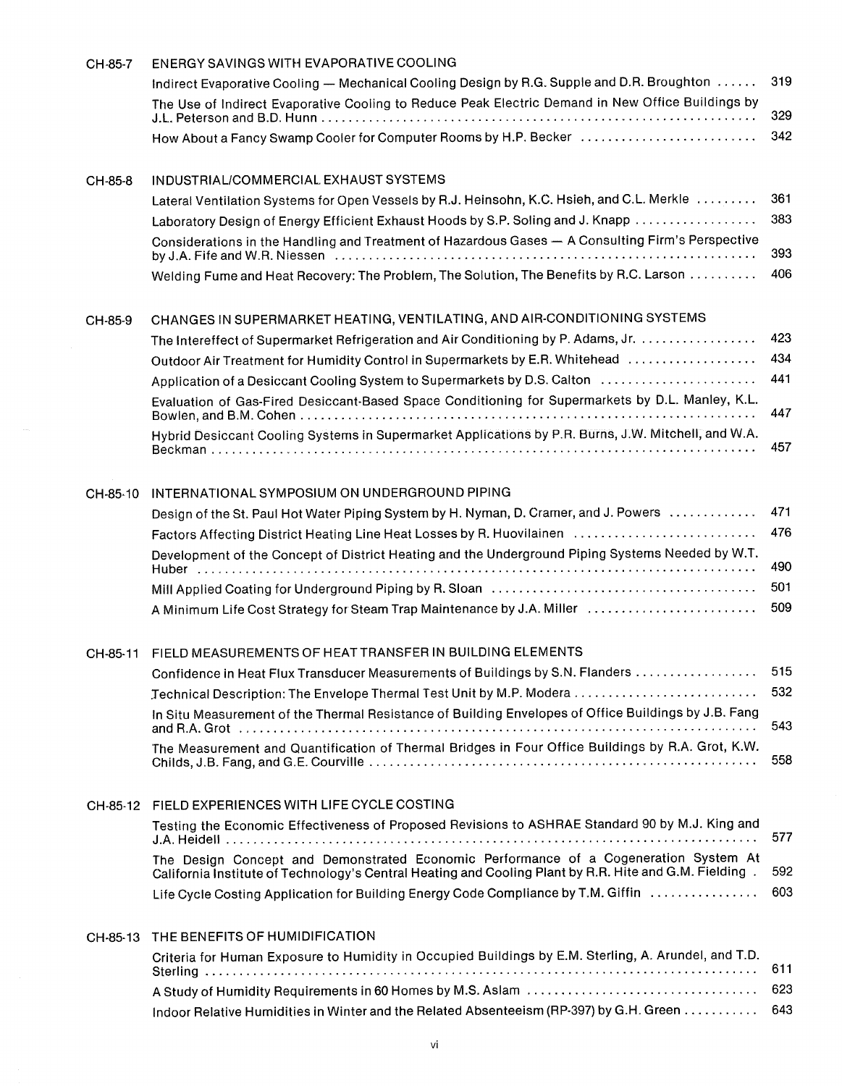| CH-85-7  | ENERGY SAVINGS WITH EVAPORATIVE COOLING                                                                                                                                                        |     |
|----------|------------------------------------------------------------------------------------------------------------------------------------------------------------------------------------------------|-----|
|          | Indirect Evaporative Cooling — Mechanical Cooling Design by R.G. Supple and D.R. Broughton                                                                                                     | 319 |
|          | The Use of Indirect Evaporative Cooling to Reduce Peak Electric Demand in New Office Buildings by                                                                                              | 329 |
|          | How About a Fancy Swamp Cooler for Computer Rooms by H.P. Becker                                                                                                                               | 342 |
| CH-85-8  | INDUSTRIAL/COMMERCIAL EXHAUST SYSTEMS                                                                                                                                                          |     |
|          | Lateral Ventilation Systems for Open Vessels by R.J. Heinsohn, K.C. Hsieh, and C.L. Merkle                                                                                                     | 361 |
|          | Laboratory Design of Energy Efficient Exhaust Hoods by S.P. Soling and J. Knapp                                                                                                                | 383 |
|          | Considerations in the Handling and Treatment of Hazardous Gases - A Consulting Firm's Perspective                                                                                              | 393 |
|          | Welding Fume and Heat Recovery: The Problem, The Solution, The Benefits by R.C. Larson                                                                                                         | 406 |
| CH-85-9  | CHANGES IN SUPERMARKET HEATING, VENTILATING, AND AIR-CONDITIONING SYSTEMS                                                                                                                      |     |
|          | The Intereffect of Supermarket Refrigeration and Air Conditioning by P. Adams, Jr.                                                                                                             | 423 |
|          | Outdoor Air Treatment for Humidity Control in Supermarkets by E.R. Whitehead                                                                                                                   | 434 |
|          | Application of a Desiccant Cooling System to Supermarkets by D.S. Calton                                                                                                                       | 441 |
|          | Evaluation of Gas-Fired Desiccant-Based Space Conditioning for Supermarkets by D.L. Manley, K.L.                                                                                               | 447 |
|          | Hybrid Desiccant Cooling Systems in Supermarket Applications by P.R. Burns, J.W. Mitchell, and W.A.                                                                                            | 457 |
| CH-85-10 | INTERNATIONAL SYMPOSIUM ON UNDERGROUND PIPING                                                                                                                                                  |     |
|          | Design of the St. Paul Hot Water Piping System by H. Nyman, D. Cramer, and J. Powers                                                                                                           | 471 |
|          | Factors Affecting District Heating Line Heat Losses by R. Huovilainen                                                                                                                          | 476 |
|          | Development of the Concept of District Heating and the Underground Piping Systems Needed by W.T.                                                                                               | 490 |
|          |                                                                                                                                                                                                | 501 |
|          | A Minimum Life Cost Strategy for Steam Trap Maintenance by J.A. Miller                                                                                                                         | 509 |
|          | CH-85-11 FIELD MEASUREMENTS OF HEAT TRANSFER IN BUILDING ELEMENTS                                                                                                                              |     |
|          | Confidence in Heat Flux Transducer Measurements of Buildings by S.N. Flanders                                                                                                                  | 515 |
|          | Technical Description: The Envelope Thermal Test Unit by M.P. Modera                                                                                                                           | 532 |
|          | In Situ Measurement of the Thermal Resistance of Building Envelopes of Office Buildings by J.B. Fang                                                                                           | 543 |
|          | The Measurement and Quantification of Thermal Bridges in Four Office Buildings by R.A. Grot, K.W.                                                                                              | 558 |
| CH-85-12 | FIELD EXPERIENCES WITH LIFE CYCLE COSTING                                                                                                                                                      |     |
|          | Testing the Economic Effectiveness of Proposed Revisions to ASHRAE Standard 90 by M.J. King and                                                                                                | 577 |
|          | The Design Concept and Demonstrated Economic Performance of a Cogeneration System At<br>California Institute of Technology's Central Heating and Cooling Plant by R.R. Hite and G.M. Fielding. | 592 |
|          | Life Cycle Costing Application for Building Energy Code Compliance by T.M. Giffin                                                                                                              | 603 |
| CH-85-13 | THE BENEFITS OF HUMIDIFICATION                                                                                                                                                                 |     |
|          | Criteria for Human Exposure to Humidity in Occupied Buildings by E.M. Sterling, A. Arundel, and T.D.                                                                                           | 611 |
|          |                                                                                                                                                                                                | 623 |
|          | Indoor Relative Humidities in Winter and the Related Absenteeism (RP-397) by G.H. Green                                                                                                        | 643 |